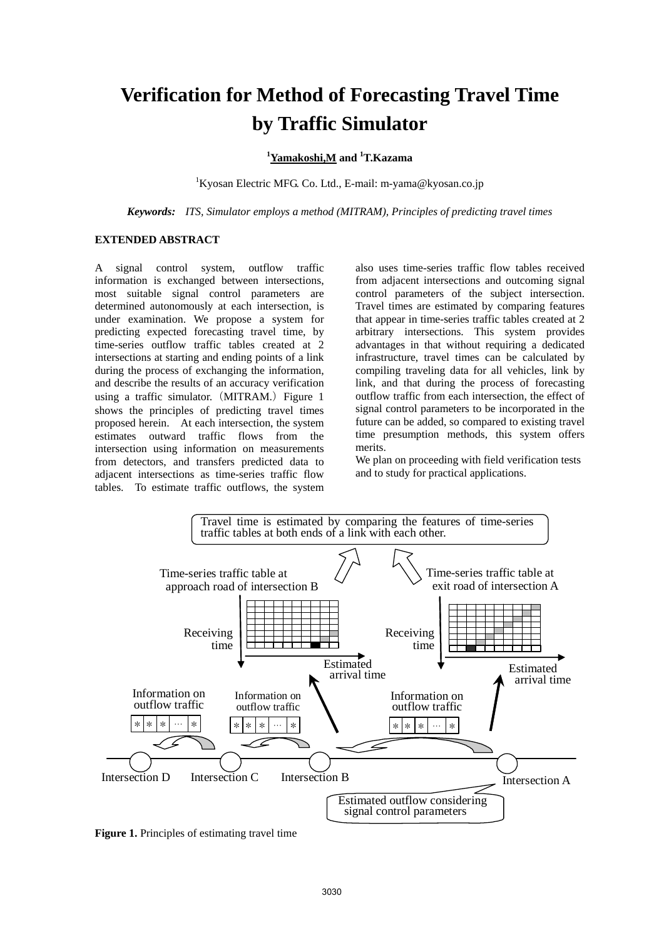# **Verification for Method of Forecasting Travel Time by Traffic Simulator**

# **1 Yamakoshi,M and 1 T.Kazama**

<sup>1</sup>Kyosan Electric MFG. Co. Ltd., E-mail: m-yama@kyosan.co.jp

*Keywords: ITS, Simulator employs a method (MITRAM), Principles of predicting travel times*

## **EXTENDED ABSTRACT**

A signal control system, outflow traffic information is exchanged between intersections, most suitable signal control parameters are determined autonomously at each intersection, is under examination. We propose a system for predicting expected forecasting travel time, by time-series outflow traffic tables created at 2 intersections at starting and ending points of a link during the process of exchanging the information, and describe the results of an accuracy verification using a traffic simulator.  $(MITRAM.)$  Figure 1 shows the principles of predicting travel times proposed herein. At each intersection, the system estimates outward traffic flows from the intersection using information on measurements from detectors, and transfers predicted data to adjacent intersections as time-series traffic flow tables. To estimate traffic outflows, the system

also uses time-series traffic flow tables received from adjacent intersections and outcoming signal control parameters of the subject intersection. Travel times are estimated by comparing features that appear in time-series traffic tables created at 2 arbitrary intersections. This system provides advantages in that without requiring a dedicated infrastructure, travel times can be calculated by compiling traveling data for all vehicles, link by link, and that during the process of forecasting outflow traffic from each intersection, the effect of signal control parameters to be incorporated in the future can be added, so compared to existing travel time presumption methods, this system offers merits.

We plan on proceeding with field verification tests and to study for practical applications.



**Figure 1.** Principles of estimating travel time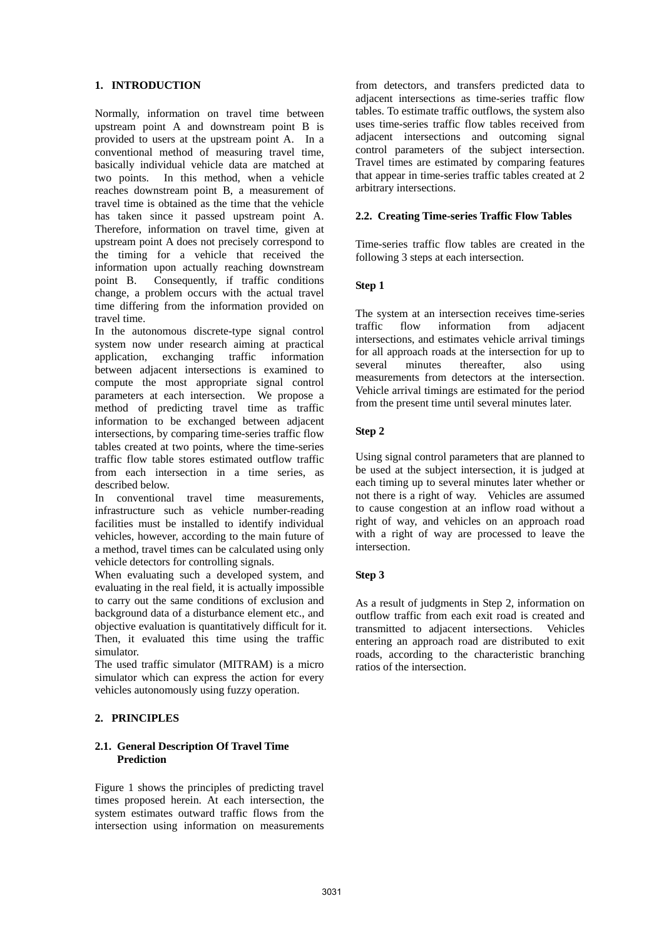## **1. INTRODUCTION**

Normally, information on travel time between upstream point A and downstream point B is provided to users at the upstream point A. In a conventional method of measuring travel time, basically individual vehicle data are matched at two points. In this method, when a vehicle reaches downstream point B, a measurement of travel time is obtained as the time that the vehicle has taken since it passed upstream point A. Therefore, information on travel time, given at upstream point A does not precisely correspond to the timing for a vehicle that received the information upon actually reaching downstream point B. Consequently, if traffic conditions change, a problem occurs with the actual travel time differing from the information provided on travel time.

In the autonomous discrete-type signal control system now under research aiming at practical application, exchanging traffic information between adjacent intersections is examined to compute the most appropriate signal control parameters at each intersection. We propose a method of predicting travel time as traffic information to be exchanged between adjacent intersections, by comparing time-series traffic flow tables created at two points, where the time-series traffic flow table stores estimated outflow traffic from each intersection in a time series, as described below.

In conventional travel time measurements, infrastructure such as vehicle number-reading facilities must be installed to identify individual vehicles, however, according to the main future of a method, travel times can be calculated using only vehicle detectors for controlling signals.

When evaluating such a developed system, and evaluating in the real field, it is actually impossible to carry out the same conditions of exclusion and background data of a disturbance element etc., and objective evaluation is quantitatively difficult for it. Then, it evaluated this time using the traffic simulator.

The used traffic simulator (MITRAM) is a micro simulator which can express the action for every vehicles autonomously using fuzzy operation.

# **2. PRINCIPLES**

## **2.1. General Description Of Travel Time Prediction**

Figure 1 shows the principles of predicting travel times proposed herein. At each intersection, the system estimates outward traffic flows from the intersection using information on measurements

from detectors, and transfers predicted data to adjacent intersections as time-series traffic flow tables. To estimate traffic outflows, the system also uses time-series traffic flow tables received from adjacent intersections and outcoming signal control parameters of the subject intersection. Travel times are estimated by comparing features that appear in time-series traffic tables created at 2 arbitrary intersections.

## **2.2. Creating Time-series Traffic Flow Tables**

Time-series traffic flow tables are created in the following 3 steps at each intersection.

## **Step 1**

The system at an intersection receives time-series traffic flow information from adjacent intersections, and estimates vehicle arrival timings for all approach roads at the intersection for up to several minutes thereafter, also using measurements from detectors at the intersection. Vehicle arrival timings are estimated for the period from the present time until several minutes later.

## **Step 2**

Using signal control parameters that are planned to be used at the subject intersection, it is judged at each timing up to several minutes later whether or not there is a right of way. Vehicles are assumed to cause congestion at an inflow road without a right of way, and vehicles on an approach road with a right of way are processed to leave the intersection.

## **Step 3**

As a result of judgments in Step 2, information on outflow traffic from each exit road is created and transmitted to adjacent intersections. Vehicles entering an approach road are distributed to exit roads, according to the characteristic branching ratios of the intersection.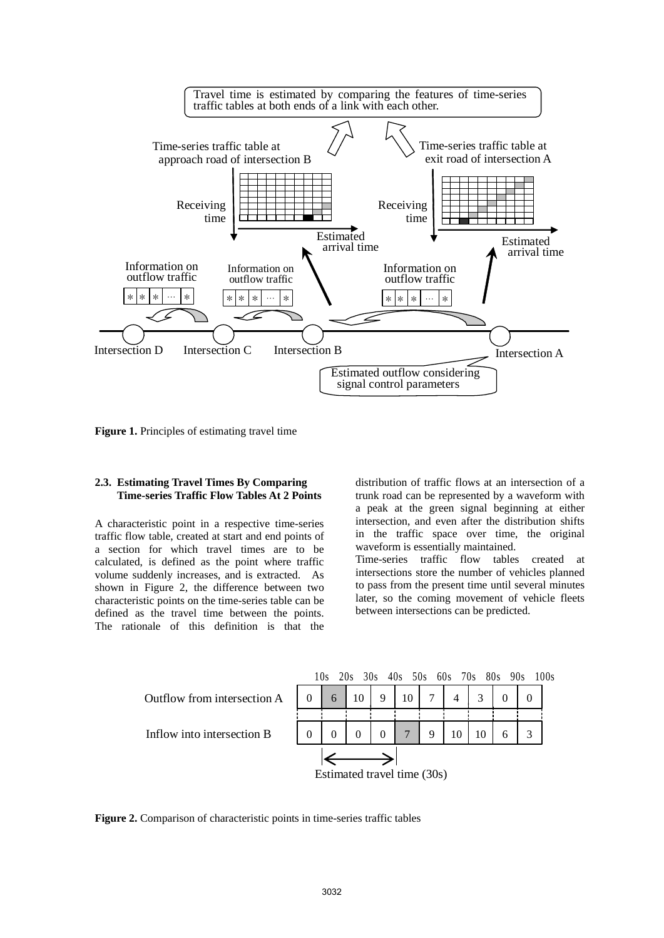

**Figure 1.** Principles of estimating travel time

## **2.3. Estimating Travel Times By Comparing Time-series Traffic Flow Tables At 2 Points**

A characteristic point in a respective time-series traffic flow table, created at start and end points of a section for which travel times are to be calculated, is defined as the point where traffic volume suddenly increases, and is extracted. As shown in Figure 2, the difference between two characteristic points on the time-series table can be defined as the travel time between the points. The rationale of this definition is that the

distribution of traffic flows at an intersection of a trunk road can be represented by a waveform with a peak at the green signal beginning at either intersection, and even after the distribution shifts in the traffic space over time, the original waveform is essentially maintained. Time-series traffic flow tables created at intersections store the number of vehicles planned to pass from the present time until several minutes later, so the coming movement of vehicle fleets between intersections can be predicted.



**Figure 2.** Comparison of characteristic points in time-series traffic tables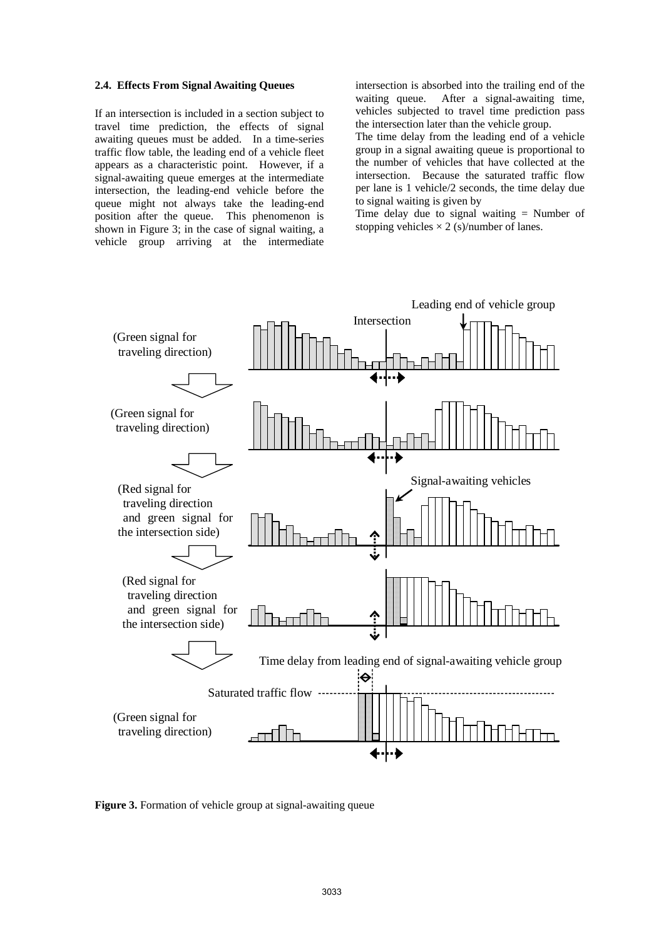#### **2.4. Effects From Signal Awaiting Queues**

If an intersection is included in a section subject to travel time prediction, the effects of signal awaiting queues must be added. In a time-series traffic flow table, the leading end of a vehicle fleet appears as a characteristic point. However, if a signal-awaiting queue emerges at the intermediate intersection, the leading-end vehicle before the queue might not always take the leading-end position after the queue. This phenomenon is shown in Figure 3; in the case of signal waiting, a vehicle group arriving at the intermediate

intersection is absorbed into the trailing end of the waiting queue. After a signal-awaiting time, vehicles subjected to travel time prediction pass the intersection later than the vehicle group.

The time delay from the leading end of a vehicle group in a signal awaiting queue is proportional to the number of vehicles that have collected at the intersection. Because the saturated traffic flow per lane is 1 vehicle/2 seconds, the time delay due to signal waiting is given by

Time delay due to signal waiting = Number of stopping vehicles  $\times$  2 (s)/number of lanes.



**Figure 3.** Formation of vehicle group at signal-awaiting queue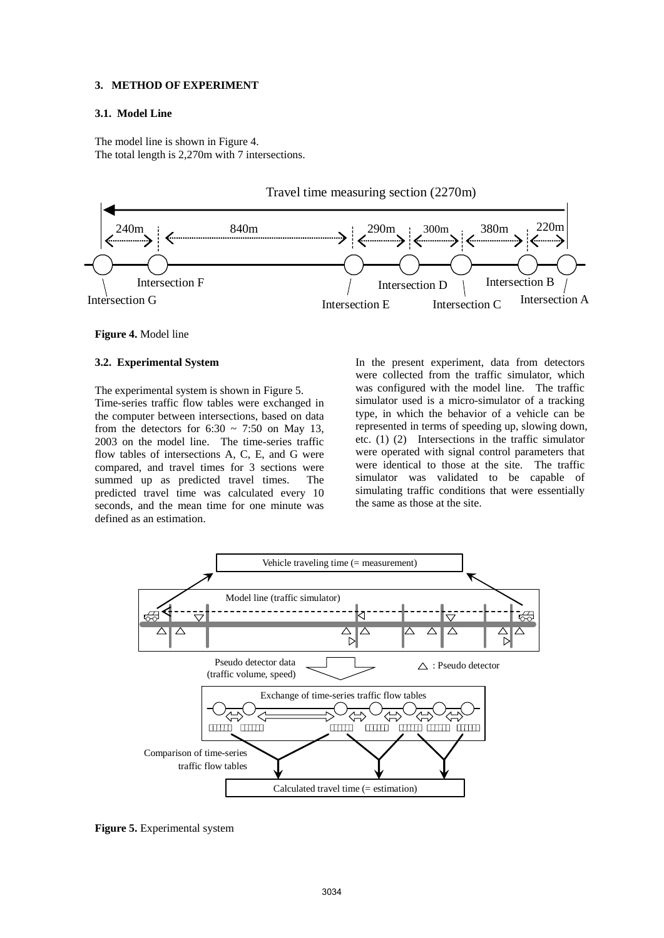### **3. METHOD OF EXPERIMENT**

## **3.1. Model Line**

The model line is shown in Figure 4. The total length is 2,270m with 7 intersections.



#### **Figure 4.** Model line

### **3.2. Experimental System**

The experimental system is shown in Figure 5. Time-series traffic flow tables were exchanged in the computer between intersections, based on data from the detectors for  $6:30 \sim 7:50$  on May 13, 2003 on the model line. The time-series traffic flow tables of intersections A, C, E, and G were compared, and travel times for 3 sections were summed up as predicted travel times. The predicted travel time was calculated every 10 seconds, and the mean time for one minute was defined as an estimation.

In the present experiment, data from detectors were collected from the traffic simulator, which was configured with the model line. The traffic simulator used is a micro-simulator of a tracking type, in which the behavior of a vehicle can be represented in terms of speeding up, slowing down, etc. (1) (2) Intersections in the traffic simulator were operated with signal control parameters that were identical to those at the site. The traffic simulator was validated to be capable of simulating traffic conditions that were essentially the same as those at the site.



**Figure 5.** Experimental system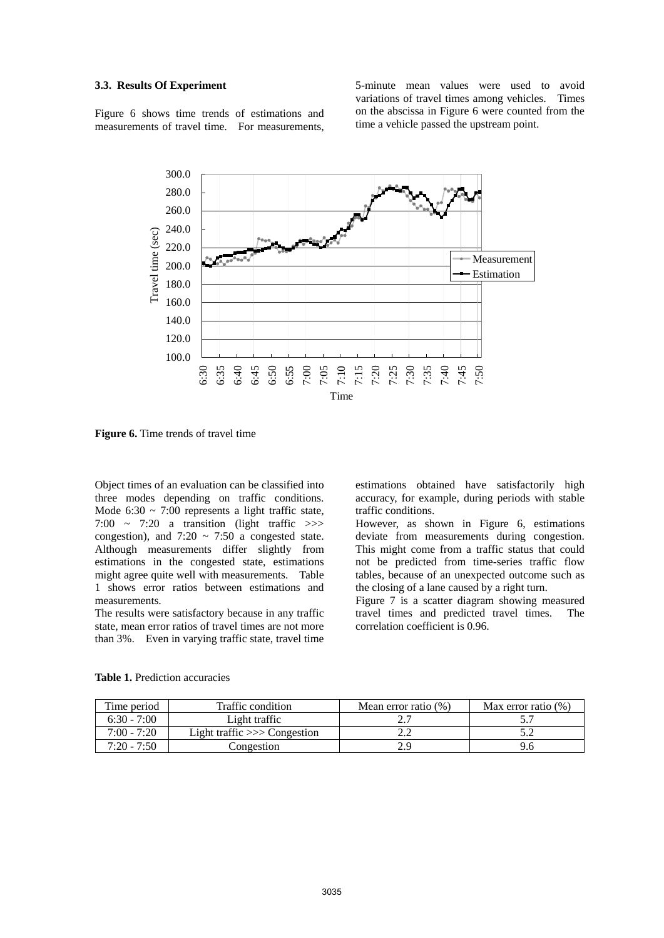#### **3.3. Results Of Experiment**

Figure 6 shows time trends of estimations and measurements of travel time. For measurements,

5-minute mean values were used to avoid variations of travel times among vehicles. Times on the abscissa in Figure 6 were counted from the time a vehicle passed the upstream point.



**Figure 6.** Time trends of travel time

Object times of an evaluation can be classified into three modes depending on traffic conditions. Mode  $6:30 \sim 7:00$  represents a light traffic state, 7:00  $\sim$  7:20 a transition (light traffic  $\gg$ ) congestion), and  $7:20 \sim 7:50$  a congested state. Although measurements differ slightly from estimations in the congested state, estimations might agree quite well with measurements. Table 1 shows error ratios between estimations and measurements.

The results were satisfactory because in any traffic state, mean error ratios of travel times are not more than 3%. Even in varying traffic state, travel time

estimations obtained have satisfactorily high accuracy, for example, during periods with stable traffic conditions.

However, as shown in Figure 6, estimations deviate from measurements during congestion. This might come from a traffic status that could not be predicted from time-series traffic flow tables, because of an unexpected outcome such as the closing of a lane caused by a right turn.

Figure 7 is a scatter diagram showing measured travel times and predicted travel times. The correlation coefficient is 0.96.

| Time period   | Traffic condition              | Mean error ratio $(\%)$ | Max error ratio $(\%)$ |
|---------------|--------------------------------|-------------------------|------------------------|
| $6:30 - 7:00$ | Light traffic                  |                         |                        |
| $7:00 - 7:20$ | Light traffic $\gg$ Congestion |                         | ے . د                  |
| $7:20 - 7:50$ | Congestion                     |                         |                        |

**Table 1.** Prediction accuracies